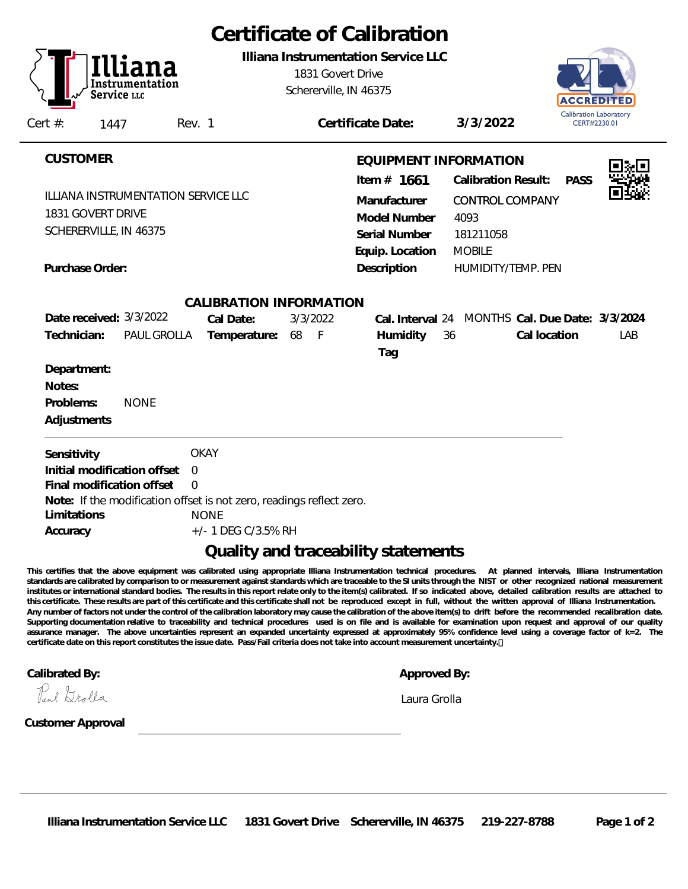| Certificate of Calibration<br>Illiana Instrumentation Service LLC<br>1831 Govert Drive<br>Schererville, IN 46375 |                                                                           |                                                                                                                                        |  |  |
|------------------------------------------------------------------------------------------------------------------|---------------------------------------------------------------------------|----------------------------------------------------------------------------------------------------------------------------------------|--|--|
| Certificate Date:                                                                                                | 3/3/2022                                                                  | Calibration Laboratory<br>CERT#2230.01                                                                                                 |  |  |
| Item $# 1661$<br>Manufacturer<br>Model Number<br>Serial Number                                                   | <b>Calibration Result:</b><br><b>CONTROL COMPANY</b><br>4093<br>181211058 | <b>PASS</b>                                                                                                                            |  |  |
| Description                                                                                                      | HUMIDITY/TEMP. PEN                                                        |                                                                                                                                        |  |  |
| CALIBRATION INFORMATION<br>Humidity<br>Tag                                                                       | Cal location                                                              | LAB                                                                                                                                    |  |  |
|                                                                                                                  |                                                                           |                                                                                                                                        |  |  |
| Note: If the modification offset is not zero, readings reflect zero.                                             |                                                                           |                                                                                                                                        |  |  |
|                                                                                                                  | Equip. Location                                                           | EQUIPMENT INFORMATION<br><b>MOBILE</b><br>Cal. Interval 24 MONTHS Cal. Due Date: 3/3/2024<br>36<br>Quality and traceability statements |  |  |

**This certifies that the above equipment was calibrated using appropriate Illiana Instrumentation technical procedures. At planned intervals, Illiana Instrumentation standards are calibrated by comparison to or measurement against standards which are traceable to the SI units through the NIST or other recognized national measurement institutes or international standard bodies. The results in this report relate only to the item(s) calibrated. If so indicated above, detailed calibration results are attached to this certificate. These results are part of this certificate and this certificate shall not be reproduced except in full, without the written approval of Illiana Instrumentation. Any number of factors not under the control of the calibration laboratory may cause the calibration of the above item(s) to drift before the recommended recalibration date. Supporting documentation relative to traceability and technical procedures used is on file and is available for examination upon request and approval of our quality assurance manager. The above uncertainties represent an expanded uncertainty expressed at approximately 95% confidence level using a coverage factor of k=2. The certificate date on this report constitutes the issue date. Pass/Fail criteria does not take into account measurement uncertainty.** 

**Calibrated By: Approved By:**

Paul Grolla

*Laura Grolla*

**Customer Approval**